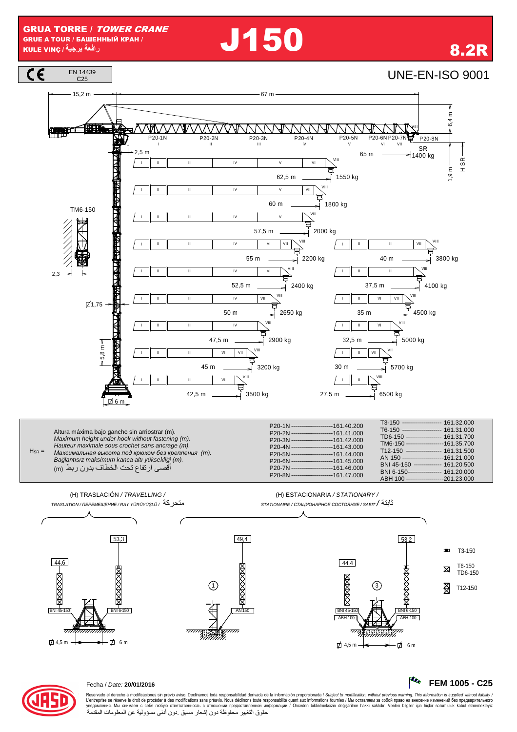**J150** 



R FEM 1005 - C25



## Fecha / Date: 20/01/2016

Reservado el derecho a modificaciones sin previo aviso. Declinamos toda responsabilidad derivada de la información proporcionada / Subject to modification, without previous warning. This information is supplied without li حقوق التغيير محفوظة دون إشعار مسبق دون أدنى مسؤولية عن المعلومات المقدمة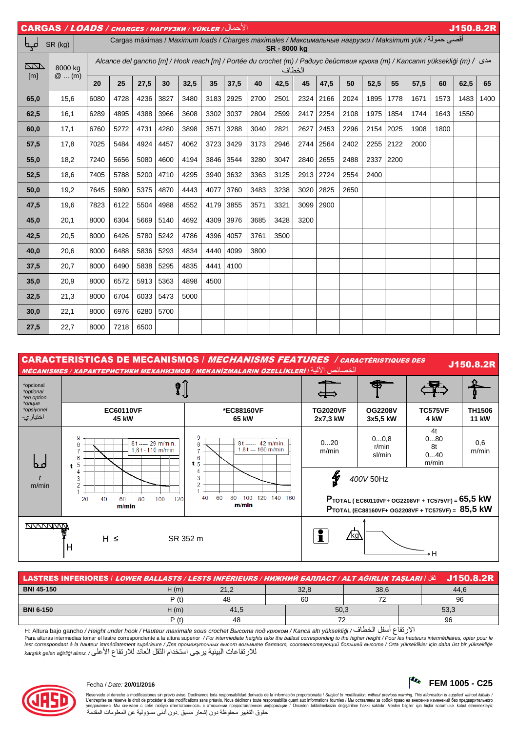| الأحمال/ CARGAS / LOADS / CHARGES / HAFPY3KH / YÜKLER |                                                                                                                                  |      |                                                                                                                                   |      |      |                          |      |      |      | J150.8.2R |      |               |      |      |      |                          |                          |      |      |
|-------------------------------------------------------|----------------------------------------------------------------------------------------------------------------------------------|------|-----------------------------------------------------------------------------------------------------------------------------------|------|------|--------------------------|------|------|------|-----------|------|---------------|------|------|------|--------------------------|--------------------------|------|------|
| لمہا                                                  | أقصي حمولة/ Cargas máximas / Maximum loads / Charges maximales / Максимальные нагрузки / Maksimum yük<br>SR (kg)<br>SR - 8000 kg |      |                                                                                                                                   |      |      |                          |      |      |      |           |      |               |      |      |      |                          |                          |      |      |
| <u>NN</u><br>[m]                                      | 8000 kg<br>$@$ (m)                                                                                                               |      | Alcance del gancho [m] / Hook reach [m] / Portée du crochet (m) / Радиус действия крюка (m) / Kancanın yüksekliği (m) /<br>الخطاف |      |      |                          |      |      |      |           |      |               |      |      |      |                          |                          |      |      |
|                                                       |                                                                                                                                  | 20   | 25                                                                                                                                | 27,5 | 30   | 32,5                     | 35   | 37,5 | 40   | 42,5      | 45   | 47,5          | 50   | 52,5 | 55   | 57,5                     | 60                       | 62,5 | 65   |
| 65,0                                                  | 15,6                                                                                                                             | 6080 | 4728                                                                                                                              | 4236 | 3827 | 3480                     | 3183 | 2925 | 2700 | 2501      | 2324 | 2166          | 2024 | 1895 | 1778 | 1671                     | 1573                     | 1483 | 1400 |
| 62,5                                                  | 16,1                                                                                                                             | 6289 | 4895                                                                                                                              | 4388 | 3966 | 3608                     | 3302 | 3037 | 2804 | 2599      | 2417 | 2254          | 2108 | 1975 | 1854 | 1744                     | 1643                     | 1550 |      |
| 60,0                                                  | 17,1                                                                                                                             | 6760 | 5272                                                                                                                              | 4731 | 4280 | 3898                     | 3571 | 3288 | 3040 | 2821      | 2627 | 2453          | 2296 | 2154 | 2025 | 1908                     | 1800                     |      |      |
| 57,5                                                  | 17,8                                                                                                                             | 7025 | 5484                                                                                                                              | 4924 | 4457 | 4062                     | 3723 | 3429 | 3173 | 2946      | 2744 | 2564          | 2402 | 2255 | 2122 | 2000                     | $\overline{\phantom{0}}$ |      |      |
| 55,0                                                  | 18,2                                                                                                                             | 7240 | 5656                                                                                                                              | 5080 | 4600 | 4194                     | 3846 | 3544 | 3280 | 3047      | 2840 | 2655          | 2488 | 2337 | 2200 | $\overline{\phantom{0}}$ |                          |      |      |
| 52,5                                                  | 18,6                                                                                                                             | 7405 | 5788                                                                                                                              | 5200 | 4710 | 4295                     | 3940 | 3632 | 3363 | 3125      | 2913 | 2724          | 2554 | 2400 |      | $\overline{\phantom{0}}$ |                          |      |      |
| 50,0                                                  | 19,2                                                                                                                             | 7645 | 5980                                                                                                                              | 5375 | 4870 | 4443                     | 4077 | 3760 | 3483 | 3238      | 3020 | 2825          | 2650 |      |      |                          |                          |      |      |
| 47,5                                                  | 19,6                                                                                                                             | 7823 | 6122                                                                                                                              | 5504 | 4988 | 4552                     | 4179 | 3855 | 3571 | 3321      | 3099 | 2900          |      |      |      |                          |                          |      |      |
| 45,0                                                  | 20,1                                                                                                                             | 8000 | 6304                                                                                                                              | 5669 | 5140 | 4692                     | 4309 | 3976 | 3685 | 3428      | 3200 | $\frac{1}{2}$ | __   |      |      |                          |                          |      |      |
| 42,5                                                  | 20,5                                                                                                                             | 8000 | 6426                                                                                                                              | 5780 | 5242 | 4786                     | 4396 | 4057 | 3761 | 3500      |      |               |      |      |      |                          |                          |      |      |
| 40,0                                                  | 20,6                                                                                                                             | 8000 | 6488                                                                                                                              | 5836 | 5293 | 4834                     | 4440 | 4099 | 3800 |           |      |               |      |      |      |                          |                          |      |      |
| 37,5                                                  | 20,7                                                                                                                             | 8000 | 6490                                                                                                                              | 5838 | 5295 | 4835                     | 4441 | 4100 |      |           |      |               |      |      |      |                          |                          |      |      |
| 35,0                                                  | 20,9                                                                                                                             | 8000 | 6572                                                                                                                              | 5913 | 5363 | 4898                     | 4500 |      |      |           |      |               |      |      |      |                          |                          |      |      |
| 32,5                                                  | 21,3                                                                                                                             | 8000 | 6704                                                                                                                              | 6033 | 5473 | 5000                     |      |      |      |           |      |               |      |      |      |                          |                          |      |      |
| 30,0                                                  | 22,1                                                                                                                             | 8000 | 6976                                                                                                                              | 6280 | 5700 | $\overline{\phantom{m}}$ |      |      |      |           |      |               |      |      |      |                          |                          |      |      |
| 27,5                                                  | 22,7                                                                                                                             | 8000 | 7218                                                                                                                              | 6500 |      |                          |      |      |      |           |      |               |      |      |      |                          |                          |      |      |



| نَّقَ   LASTRES INFERIORES   L <i>OWER BALLASTS   LESTS INFÉRIEURS   HИЖНИЙ БАЛЛАСТ   ALT AĞIRLIK TAŞLARI</i> |      |      |  |      |      |      | J150.8.2R |  |
|---------------------------------------------------------------------------------------------------------------|------|------|--|------|------|------|-----------|--|
| <b>BNI 45-150</b>                                                                                             | H(m) | 21,2 |  | 32,8 | 38,6 |      | 44.6      |  |
|                                                                                                               | P(t) | 48   |  | 60   | ⇁    |      | 96        |  |
| <b>BNI 6-150</b>                                                                                              | H(m) | 41.5 |  | 50,3 |      | 53,3 |           |  |
|                                                                                                               | P(t) | 48   |  | 72   |      |      | 96        |  |

H: Altura bajo gancho / Height under hook / Hauteur maximale sous crochet *Высота под крюком* / Kanca altı yüksekli*ğ*i / ف ,-ا 8 9أ ع /ر:ا Para alturas intermedias tomar el lastre correspondiente a la altura superior / For intermediate heights take the ballast corresponding to the higher height / Pour les hauteurs intermédiaires, opter pour le<br>lest correspon للار تفاعات البينية ير جي استخدام الثقل العائد للار تفاع الأعلى/ karşılık gelen ağirliği alınız



## Fecha / Date: **20/01/2016 FEM 1005 - C25**

Reservado el derecho a modificaciones sin previo aviso. Declinamos toda responsabilidad derivada de la información proporcionada / Subjec*t to modification, without previous warning. This information is supplied without l* حقوق التغيير محفوظة دون إشعار مسبق دون أدنى مسؤولية عن المعلومات المقدمة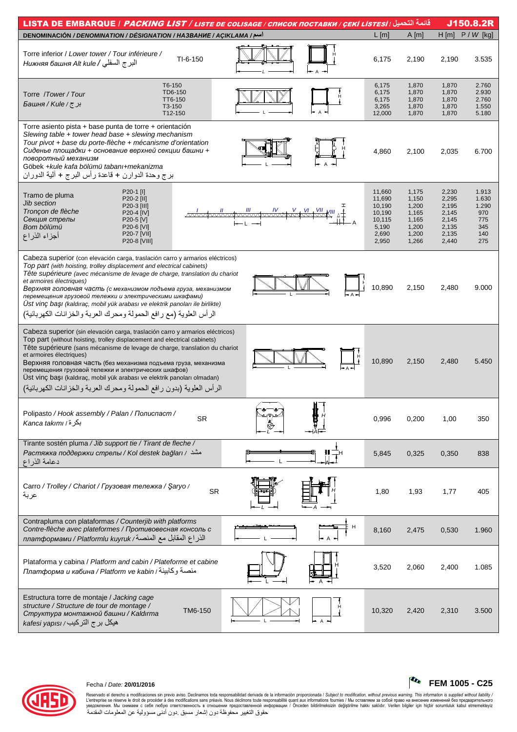| قائمة التحميل / LISTA DE EMBARQUE / <i>PACKING LIST / LISTE DE COLISAGE / СПИСОК ПОСТАВКИ / СЕКІ LISTESI</i><br>J150.8.2R                                                                                                                                                                                                                                                                                                                                                                                                                                 |                                                                           |                                                                      |                                                                      |                                                            |  |  |  |  |  |
|-----------------------------------------------------------------------------------------------------------------------------------------------------------------------------------------------------------------------------------------------------------------------------------------------------------------------------------------------------------------------------------------------------------------------------------------------------------------------------------------------------------------------------------------------------------|---------------------------------------------------------------------------|----------------------------------------------------------------------|----------------------------------------------------------------------|------------------------------------------------------------|--|--|--|--|--|
| اسم/ DENOMINACIÓN / DENOMINATION / DÉSIGNATION / HA3BAHHE / AÇIKLAMA                                                                                                                                                                                                                                                                                                                                                                                                                                                                                      | $L$ [m]                                                                   | A[m]                                                                 | $H[m]$ $P/W$ [kg]                                                    |                                                            |  |  |  |  |  |
| Torre inferior / Lower tower / Tour inférieure /<br>$TI-6-150$<br>البر ج السفلي / Нижняя башня Alt kule                                                                                                                                                                                                                                                                                                                                                                                                                                                   | 6,175                                                                     | 2,190                                                                | 2,190                                                                | 3.535                                                      |  |  |  |  |  |
| T6-150<br>TD6-150<br>Torre /Tower/Tour<br>TT6-150<br>برج/ Башня / Kule<br>T3-150<br>T12-150                                                                                                                                                                                                                                                                                                                                                                                                                                                               | 6,175<br>6,175<br>6,175<br>3,265<br>12,000                                | 1,870<br>1,870<br>1,870<br>1,870<br>1,870                            | 1,870<br>1,870<br>1,870<br>1,870<br>1,870                            | 2.760<br>2.930<br>2.760<br>1.550<br>5.180                  |  |  |  |  |  |
| Torre asiento pista + base punta de torre + orientación<br>Slewing table $+$ tower head base $+$ slewing mechanism<br>Tour pivot + base du porte-flèche + mécanisme d'orientation<br>Сиденье площадки + основание верхней секции башни +<br>поворотный механизм<br>Göbek + kule kafa bölümü tabanı + mekanizma<br>برج وحدة الدوارن + قاعدة رأس البرج + ألية الدوران                                                                                                                                                                                       | 4,860                                                                     | 2,100                                                                | 2,035                                                                | 6.700                                                      |  |  |  |  |  |
| P20-1 [I]<br>Tramo de pluma<br>P20-2 [II]<br><b>Jib section</b><br>P20-3 [III]<br><u> MAAAAAAAAAAAAAAAAAAA</u><br>Tronçon de flèche<br>P20-4 [IV]<br>Секция стрелы<br>P20-5 [V]<br>Bom bölümü<br>P20-6 [VI]<br>P20-7 [VII]<br>أجزاء الذراع<br>P20-8 [VIII]                                                                                                                                                                                                                                                                                                | 11,660<br>11,690<br>10,190<br>10,190<br>10,115<br>5,190<br>2,690<br>2,950 | 1,175<br>1,150<br>1,200<br>1,165<br>1,165<br>1,200<br>1,200<br>1,266 | 2,230<br>2,295<br>2,195<br>2,145<br>2,145<br>2,135<br>2,135<br>2,440 | 1.913<br>1.630<br>1.290<br>970<br>775<br>345<br>140<br>275 |  |  |  |  |  |
| Cabeza superior (con elevación carga, traslación carro y armarios eléctricos)<br>Top part (with hoisting, trolley displacement and electrical cabinets)<br>Tête supérieure (avec mécanisme de levage de charge, translation du chariot<br>et armoires électriques)<br>Ŀ<br>Верхняя головная часть (с механизмом подъема груза, механизмом<br>перемещения грузовой тележки и электрическими шкафами)<br>Ust vinç başı (kaldıraç, mobil yük arabası ve elektrik panoları ile birlikte)<br>الرأس العلوية (مع رافع الحمولة ومحرك العربة والخزانات الكهربائية) | 10,890                                                                    | 2,150                                                                | 2,480                                                                | 9.000                                                      |  |  |  |  |  |
| Cabeza superior (sin elevación carga, traslación carro y armarios eléctricos)<br>Top part (without hoisting, trolley displacement and electrical cabinets)<br>Tête supérieure (sans mécanisme de levage de charge, translation du chariot<br>et armoires électriques)<br>Верхняя головная часть (без механизма подъема груза, механизма<br>перемещения грузовой тележки и электрических шкафов)<br>Ust vinç başı (kaldıraç, mobil yük arabası ve elektrik panoları olmadan)<br>الرأس العلوية (بدون رافع الحمولة ومحرك العربة والخزانات الكهربائية)        | 10,890                                                                    | 2,150                                                                | 2,480                                                                | 5.450                                                      |  |  |  |  |  |
| $M - 1$<br>Polipasto / Hook assembly / Palan / Полиспаст /<br><b>SR</b><br>بكرة/ Kanca takımı                                                                                                                                                                                                                                                                                                                                                                                                                                                             | 0,996                                                                     | 0,200                                                                | 1,00                                                                 | 350                                                        |  |  |  |  |  |
| Tirante sostén pluma / Jib support tie / Tirant de fleche /<br>Растяжка поддержки стрелы / Kol destek bağları / مشد<br>دعامة الذراع                                                                                                                                                                                                                                                                                                                                                                                                                       | 5,845                                                                     | 0,325                                                                | 0,350                                                                | 838                                                        |  |  |  |  |  |
| Carro / Trolley / Chariot / Грузовая тележка / Şaryo /<br><b>SR</b><br>عربة                                                                                                                                                                                                                                                                                                                                                                                                                                                                               | 1,80                                                                      | 1,93                                                                 | 1,77                                                                 | 405                                                        |  |  |  |  |  |
| Contrapluma con plataformas / Counterjib with platforms<br>H<br>Contre-flèche avec plateformes / Противовесная консоль с<br>الذراع المقابل مع المنصة/ платформами / Platformlu kuyruk                                                                                                                                                                                                                                                                                                                                                                     | 8,160                                                                     | 2,475                                                                | 0,530                                                                | 1.960                                                      |  |  |  |  |  |
| Plataforma y cabina / Platform and cabin / Plateforme et cabine<br>платформа и кабина / Platform ve kabin / منصة وكابينة                                                                                                                                                                                                                                                                                                                                                                                                                                  | 3,520                                                                     | 2,060                                                                | 2,400                                                                | 1.085                                                      |  |  |  |  |  |
| Estructura torre de montaje / Jacking cage<br>structure / Structure de tour de montage /<br>TM6-150<br>Структура монтажной башни / Kaldırma<br>kafesi yapısı / التركيب/ kafesi                                                                                                                                                                                                                                                                                                                                                                            | 10,320                                                                    | 2,420                                                                | 2,310                                                                | 3.500                                                      |  |  |  |  |  |



## Fecha / Date: 20/01/2016



 $\begin{bmatrix} \mathbf{C_0} & FEM & 1005 - C25 \end{bmatrix}$